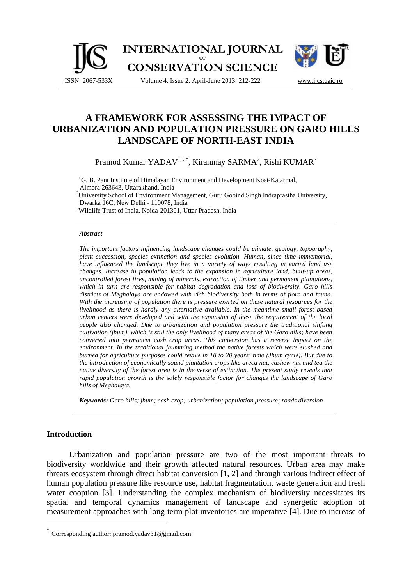

# **A FRAMEWORK FOR ASSESSING THE IMPACT OF URBANIZATION AND POPULATION PRESSURE ON GARO HILLS LANDSCAPE OF NORTH-EAST INDIA**

Pramod Kumar YADAV<sup>1, 2\*</sup>, Kiranmay SARMA<sup>2</sup>, Rishi KUMAR<sup>3</sup>

<sup>1</sup>G. B. Pant Institute of Himalayan Environment and Development Kosi-Katarmal, Almora 263643, Uttarakhand, India

<sup>2</sup>University School of Environment Management, Guru Gobind Singh Indraprastha University, Dwarka 16C, New Delhi - 110078, India

<sup>3</sup>Wildlife Trust of India, Noida-201301, Uttar Pradesh, India

#### *Abstract*

*The important factors influencing landscape changes could be climate, geology, topography, plant succession, species extinction and species evolution. Human, since time immemorial, have influenced the landscape they live in a variety of ways resulting in varied land use changes. Increase in population leads to the expansion in agriculture land, built-up areas, uncontrolled forest fires, mining of minerals, extraction of timber and permanent plantations, which in turn are responsible for habitat degradation and loss of biodiversity. Garo hills districts of Meghalaya are endowed with rich biodiversity both in terms of flora and fauna. With the increasing of population there is pressure exerted on these natural resources for the livelihood as there is hardly any alternative available. In the meantime small forest based urban centers were developed and with the expansion of these the requirement of the local people also changed. Due to urbanization and population pressure the traditional shifting cultivation (jhum), which is still the only livelihood of many areas of the Garo hills; have been converted into permanent cash crop areas. This conversion has a reverse impact on the environment. In the traditional jhumming method the native forests which were slushed and burned for agriculture purposes could revive in 18 to 20 years' time (Jhum cycle). But due to the introduction of economically sound plantation crops like areca nut, cashew nut and tea the native diversity of the forest area is in the verse of extinction. The present study reveals that rapid population growth is the solely responsible factor for changes the landscape of Garo hills of Meghalaya.* 

*Keywords: Garo hills; jhum; cash crop; urbanization; population pressure; roads diversion* 

# **Introduction**

 $\overline{a}$ 

Urbanization and population pressure are two of the most important threats to biodiversity worldwide and their growth affected natural resources. Urban area may make threats ecosystem through direct habitat conversion [1, 2] and through various indirect effect of human population pressure like resource use, habitat fragmentation, waste generation and fresh water cooption [3]. Understanding the complex mechanism of biodiversity necessitates its spatial and temporal dynamics management of landscape and synergetic adoption of measurement approaches with long-term plot inventories are imperative [4]. Due to increase of

Corresponding author: pramod.yadav31@gmail.com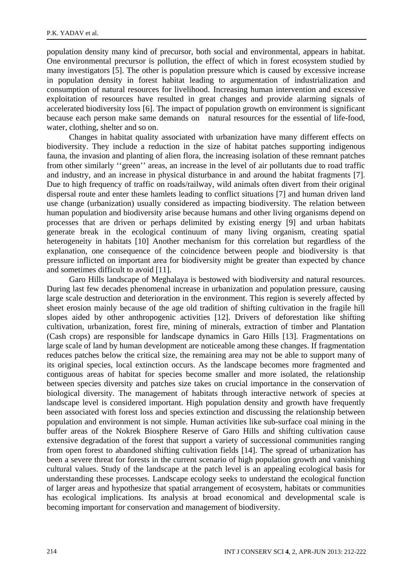population density many kind of precursor, both social and environmental, appears in habitat. One environmental precursor is pollution, the effect of which in forest ecosystem studied by many investigators [5]. The other is population pressure which is caused by excessive increase in population density in forest habitat leading to argumentation of industrialization and consumption of natural resources for livelihood. Increasing human intervention and excessive exploitation of resources have resulted in great changes and provide alarming signals of accelerated biodiversity loss [6]. The impact of population growth on environment is significant because each person make same demands on natural resources for the essential of life-food, water, clothing, shelter and so on.

Changes in habitat quality associated with urbanization have many different effects on biodiversity. They include a reduction in the size of habitat patches supporting indigenous fauna, the invasion and planting of alien flora, the increasing isolation of these remnant patches from other similarly ''green'' areas, an increase in the level of air pollutants due to road traffic and industry, and an increase in physical disturbance in and around the habitat fragments [7]. Due to high frequency of traffic on roads/railway, wild animals often divert from their original dispersal route and enter these hamlets leading to conflict situations [7] and human driven land use change (urbanization) usually considered as impacting biodiversity. The relation between human population and biodiversity arise because humans and other living organisms depend on processes that are driven or perhaps delimited by existing energy [9] and urban habitats generate break in the ecological continuum of many living organism, creating spatial heterogeneity in habitats [10] Another mechanism for this correlation but regardless of the explanation, one consequence of the coincidence between people and biodiversity is that pressure inflicted on important area for biodiversity might be greater than expected by chance and sometimes difficult to avoid [11].

Garo Hills landscape of Meghalaya is bestowed with biodiversity and natural resources. During last few decades phenomenal increase in urbanization and population pressure, causing large scale destruction and deterioration in the environment. This region is severely affected by sheet erosion mainly because of the age old tradition of shifting cultivation in the fragile hill slopes aided by other anthropogenic activities [12]. Drivers of deforestation like shifting cultivation, urbanization, forest fire, mining of minerals, extraction of timber and Plantation (Cash crops) are responsible for landscape dynamics in Garo Hills [13]. Fragmentations on large scale of land by human development are noticeable among these changes. If fragmentation reduces patches below the critical size, the remaining area may not be able to support many of its original species, local extinction occurs. As the landscape becomes more fragmented and contiguous areas of habitat for species become smaller and more isolated, the relationship between species diversity and patches size takes on crucial importance in the conservation of biological diversity. The management of habitats through interactive network of species at landscape level is considered important. High population density and growth have frequently been associated with forest loss and species extinction and discussing the relationship between population and environment is not simple. Human activities like sub-surface coal mining in the buffer areas of the Nokrek Biosphere Reserve of Garo Hills and shifting cultivation cause extensive degradation of the forest that support a variety of successional communities ranging from open forest to abandoned shifting cultivation fields [14]. The spread of urbanization has been a severe threat for forests in the current scenario of high population growth and vanishing cultural values. Study of the landscape at the patch level is an appealing ecological basis for understanding these processes. Landscape ecology seeks to understand the ecological function of larger areas and hypothesize that spatial arrangement of ecosystem, habitats or communities has ecological implications. Its analysis at broad economical and developmental scale is becoming important for conservation and management of biodiversity.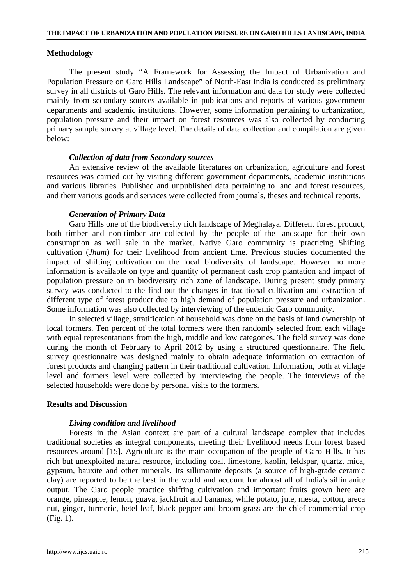# **Methodology**

The present study "A Framework for Assessing the Impact of Urbanization and Population Pressure on Garo Hills Landscape" of North-East India is conducted as preliminary survey in all districts of Garo Hills. The relevant information and data for study were collected mainly from secondary sources available in publications and reports of various government departments and academic institutions. However, some information pertaining to urbanization, population pressure and their impact on forest resources was also collected by conducting primary sample survey at village level. The details of data collection and compilation are given below:

## *Collection of data from Secondary sources*

An extensive review of the available literatures on urbanization, agriculture and forest resources was carried out by visiting different government departments, academic institutions and various libraries. Published and unpublished data pertaining to land and forest resources, and their various goods and services were collected from journals, theses and technical reports.

#### *Generation of Primary Data*

Garo Hills one of the biodiversity rich landscape of Meghalaya. Different forest product, both timber and non-timber are collected by the people of the landscape for their own consumption as well sale in the market. Native Garo community is practicing Shifting cultivation (*Jhum*) for their livelihood from ancient time. Previous studies documented the impact of shifting cultivation on the local biodiversity of landscape. However no more information is available on type and quantity of permanent cash crop plantation and impact of population pressure on in biodiversity rich zone of landscape. During present study primary survey was conducted to the find out the changes in traditional cultivation and extraction of different type of forest product due to high demand of population pressure and urbanization. Some information was also collected by interviewing of the endemic Garo community.

In selected village, stratification of household was done on the basis of land ownership of local formers. Ten percent of the total formers were then randomly selected from each village with equal representations from the high, middle and low categories. The field survey was done during the month of February to April 2012 by using a structured questionnaire. The field survey questionnaire was designed mainly to obtain adequate information on extraction of forest products and changing pattern in their traditional cultivation. Information, both at village level and formers level were collected by interviewing the people. The interviews of the selected households were done by personal visits to the formers.

## **Results and Discussion**

#### *Living condition and livelihood*

Forests in the Asian context are part of a cultural landscape complex that includes traditional societies as integral components, meeting their livelihood needs from forest based resources around [15]. Agriculture is the main occupation of the people of Garo Hills. It has rich but unexploited natural resource, including coal, limestone, kaolin, feldspar, quartz, mica, gypsum, bauxite and other minerals. Its sillimanite deposits (a source of high-grade ceramic clay) are reported to be the best in the world and account for almost all of India's sillimanite output. The Garo people practice shifting cultivation and important fruits grown here are orange, pineapple, lemon, guava, jackfruit and bananas, while potato, jute, mesta, cotton, areca nut, ginger, turmeric, betel leaf, black pepper and broom grass are the chief commercial crop (Fig. 1).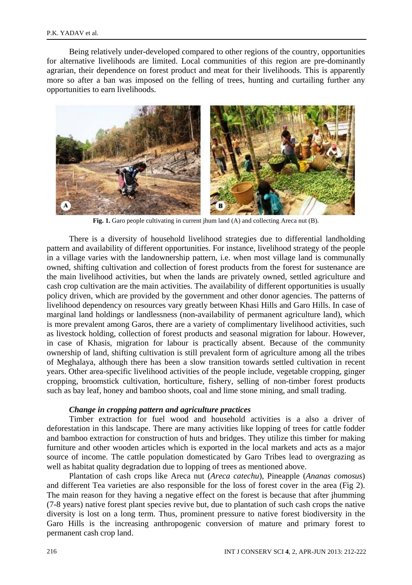Being relatively under-developed compared to other regions of the country, opportunities for alternative livelihoods are limited. Local communities of this region are pre-dominantly agrarian, their dependence on forest product and meat for their livelihoods. This is apparently more so after a ban was imposed on the felling of trees, hunting and curtailing further any opportunities to earn livelihoods.



Fig. 1. Garo people cultivating in current jhum land (A) and collecting Areca nut (B).

There is a diversity of household livelihood strategies due to differential landholding pattern and availability of different opportunities. For instance, livelihood strategy of the people in a village varies with the landownership pattern, i.e. when most village land is communally owned, shifting cultivation and collection of forest products from the forest for sustenance are the main livelihood activities, but when the lands are privately owned, settled agriculture and cash crop cultivation are the main activities. The availability of different opportunities is usually policy driven, which are provided by the government and other donor agencies. The patterns of livelihood dependency on resources vary greatly between Khasi Hills and Garo Hills. In case of marginal land holdings or landlessness (non-availability of permanent agriculture land), which is more prevalent among Garos, there are a variety of complimentary livelihood activities, such as livestock holding, collection of forest products and seasonal migration for labour. However, in case of Khasis, migration for labour is practically absent. Because of the community ownership of land, shifting cultivation is still prevalent form of agriculture among all the tribes of Meghalaya, although there has been a slow transition towards settled cultivation in recent years. Other area-specific livelihood activities of the people include, vegetable cropping, ginger cropping, broomstick cultivation, horticulture, fishery, selling of non-timber forest products such as bay leaf, honey and bamboo shoots, coal and lime stone mining, and small trading.

#### *Change in cropping pattern and agriculture practices*

Timber extraction for fuel wood and household activities is a also a driver of deforestation in this landscape. There are many activities like lopping of trees for cattle fodder and bamboo extraction for construction of huts and bridges. They utilize this timber for making furniture and other wooden articles which is exported in the local markets and acts as a major source of income. The cattle population domesticated by Garo Tribes lead to overgrazing as well as habitat quality degradation due to lopping of trees as mentioned above.

Plantation of cash crops like Areca nut (*Areca catechu*), Pineapple (*Ananas comosus*) and different Tea varieties are also responsible for the loss of forest cover in the area (Fig 2). The main reason for they having a negative effect on the forest is because that after jhumming (7-8 years) native forest plant species revive but, due to plantation of such cash crops the native diversity is lost on a long term. Thus, prominent pressure to native forest biodiversity in the Garo Hills is the increasing anthropogenic conversion of mature and primary forest to permanent cash crop land.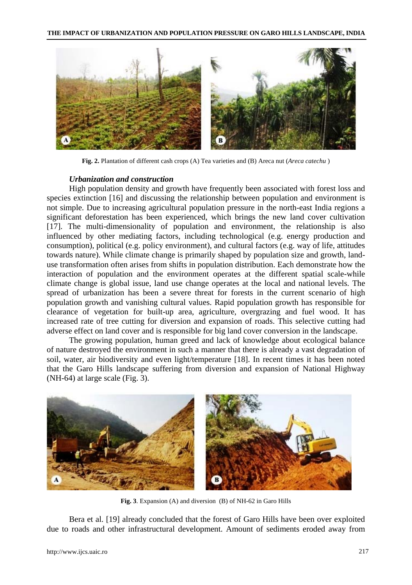

**Fig. 2.** Plantation of different cash crops (A) Tea varieties and (B) Areca nut (*Areca catechu* )

# *Urbanization and construction*

High population density and growth have frequently been associated with forest loss and species extinction [16] and discussing the relationship between population and environment is not simple. Due to increasing agricultural population pressure in the north-east India regions a significant deforestation has been experienced, which brings the new land cover cultivation [17]. The multi-dimensionality of population and environment, the relationship is also influenced by other mediating factors, including technological (e.g. energy production and consumption), political (e.g. policy environment), and cultural factors (e.g. way of life, attitudes towards nature). While climate change is primarily shaped by population size and growth, landuse transformation often arises from shifts in population distribution. Each demonstrate how the interaction of population and the environment operates at the different spatial scale-while climate change is global issue, land use change operates at the local and national levels. The spread of urbanization has been a severe threat for forests in the current scenario of high population growth and vanishing cultural values. Rapid population growth has responsible for clearance of vegetation for built-up area, agriculture, overgrazing and fuel wood. It has increased rate of tree cutting for diversion and expansion of roads. This selective cutting had adverse effect on land cover and is responsible for big land cover conversion in the landscape.

The growing population, human greed and lack of knowledge about ecological balance of nature destroyed the environment in such a manner that there is already a vast degradation of soil, water, air biodiversity and even light/temperature [18]. In recent times it has been noted that the Garo Hills landscape suffering from diversion and expansion of National Highway (NH-64) at large scale (Fig. 3).



**Fig. 3**. Expansion (A) and diversion (B) of NH-62 in Garo Hills

Bera et al. [19] already concluded that the forest of Garo Hills have been over exploited due to roads and other infrastructural development. Amount of sediments eroded away from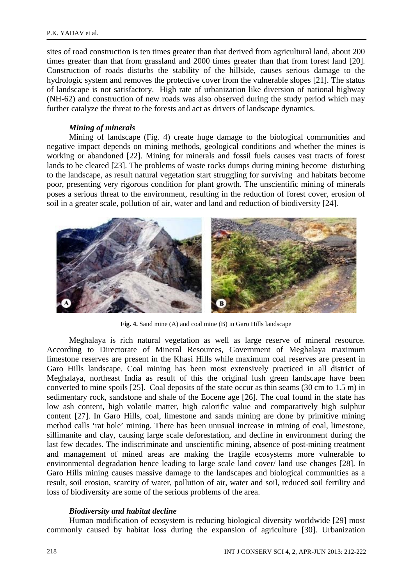sites of road construction is ten times greater than that derived from agricultural land, about 200 times greater than that from grassland and 2000 times greater than that from forest land [20]. Construction of roads disturbs the stability of the hillside, causes serious damage to the hydrologic system and removes the protective cover from the vulnerable slopes [21]. The status of landscape is not satisfactory. High rate of urbanization like diversion of national highway (NH-62) and construction of new roads was also observed during the study period which may further catalyze the threat to the forests and act as drivers of landscape dynamics.

## *Mining of minerals*

Mining of landscape (Fig. 4) create huge damage to the biological communities and negative impact depends on mining methods, geological conditions and whether the mines is working or abandoned [22]. Mining for minerals and fossil fuels causes vast tracts of forest lands to be cleared [23]. The problems of waste rocks dumps during mining become disturbing to the landscape, as result natural vegetation start struggling for surviving and habitats become poor, presenting very rigorous condition for plant growth. The unscientific mining of minerals poses a serious threat to the environment, resulting in the reduction of forest cover, erosion of soil in a greater scale, pollution of air, water and land and reduction of biodiversity [24].



**Fig. 4.** Sand mine (A) and coal mine (B) in Garo Hills landscape

Meghalaya is rich natural vegetation as well as large reserve of mineral resource. According to Directorate of Mineral Resources, Government of Meghalaya maximum limestone reserves are present in the Khasi Hills while maximum coal reserves are present in Garo Hills landscape. Coal mining has been most extensively practiced in all district of Meghalaya, northeast India as result of this the original lush green landscape have been converted to mine spoils [25]. Coal deposits of the state occur as thin seams (30 cm to 1.5 m) in sedimentary rock, sandstone and shale of the Eocene age [26]. The coal found in the state has low ash content, high volatile matter, high calorific value and comparatively high sulphur content [27]. In Garo Hills, coal, limestone and sands mining are done by primitive mining method calls 'rat hole' mining. There has been unusual increase in mining of coal, limestone, sillimanite and clay, causing large scale deforestation, and decline in environment during the last few decades. The indiscriminate and unscientific mining, absence of post-mining treatment and management of mined areas are making the fragile ecosystems more vulnerable to environmental degradation hence leading to large scale land cover/ land use changes [28]. In Garo Hills mining causes massive damage to the landscapes and biological communities as a result, soil erosion, scarcity of water, pollution of air, water and soil, reduced soil fertility and loss of biodiversity are some of the serious problems of the area.

# *Biodiversity and habitat decline*

Human modification of ecosystem is reducing biological diversity worldwide [29] most commonly caused by habitat loss during the expansion of agriculture [30]. Urbanization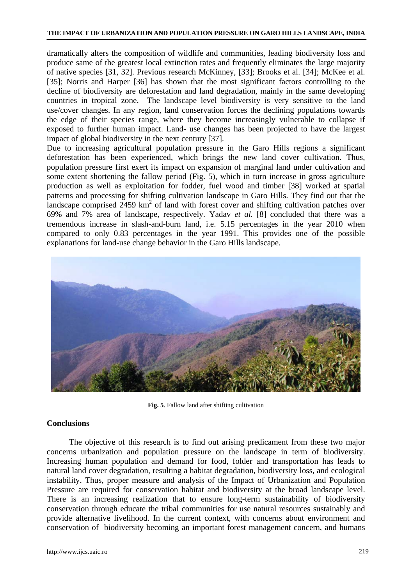dramatically alters the composition of wildlife and communities, leading biodiversity loss and produce same of the greatest local extinction rates and frequently eliminates the large majority of native species [31, 32]. Previous research McKinney, [33]; Brooks et al. [34]; McKee et al. [35]; Norris and Harper [36] has shown that the most significant factors controlling to the decline of biodiversity are deforestation and land degradation, mainly in the same developing countries in tropical zone. The landscape level biodiversity is very sensitive to the land use/cover changes. In any region, land conservation forces the declining populations towards the edge of their species range, where they become increasingly vulnerable to collapse if exposed to further human impact. Land- use changes has been projected to have the largest impact of global biodiversity in the next century [37].

Due to increasing agricultural population pressure in the Garo Hills regions a significant deforestation has been experienced, which brings the new land cover cultivation. Thus, population pressure first exert its impact on expansion of marginal land under cultivation and some extent shortening the fallow period (Fig. 5), which in turn increase in gross agriculture production as well as exploitation for fodder, fuel wood and timber [38] worked at spatial patterns and processing for shifting cultivation landscape in Garo Hills. They find out that the landscape comprised  $2459 \text{ km}^2$  of land with forest cover and shifting cultivation patches over 69% and 7% area of landscape, respectively. Yadav *et al.* [8] concluded that there was a tremendous increase in slash-and-burn land, i.e. 5.15 percentages in the year 2010 when compared to only 0.83 percentages in the year 1991. This provides one of the possible explanations for land-use change behavior in the Garo Hills landscape.



**Fig. 5**. Fallow land after shifting cultivation

# **Conclusions**

The objective of this research is to find out arising predicament from these two major concerns urbanization and population pressure on the landscape in term of biodiversity. Increasing human population and demand for food, folder and transportation has leads to natural land cover degradation, resulting a habitat degradation, biodiversity loss, and ecological instability. Thus, proper measure and analysis of the Impact of Urbanization and Population Pressure are required for conservation habitat and biodiversity at the broad landscape level. There is an increasing realization that to ensure long-term sustainability of biodiversity conservation through educate the tribal communities for use natural resources sustainably and provide alternative livelihood. In the current context, with concerns about environment and conservation of biodiversity becoming an important forest management concern, and humans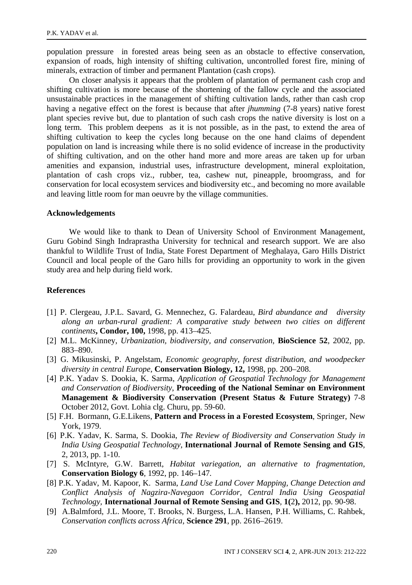population pressure in forested areas being seen as an obstacle to effective conservation, expansion of roads, high intensity of shifting cultivation, uncontrolled forest fire, mining of minerals, extraction of timber and permanent Plantation (cash crops).

On closer analysis it appears that the problem of plantation of permanent cash crop and shifting cultivation is more because of the shortening of the fallow cycle and the associated unsustainable practices in the management of shifting cultivation lands, rather than cash crop having a negative effect on the forest is because that after *jhumming* (7-8 years) native forest plant species revive but, due to plantation of such cash crops the native diversity is lost on a long term. This problem deepens as it is not possible, as in the past, to extend the area of shifting cultivation to keep the cycles long because on the one hand claims of dependent population on land is increasing while there is no solid evidence of increase in the productivity of shifting cultivation, and on the other hand more and more areas are taken up for urban amenities and expansion, industrial uses, infrastructure development, mineral exploitation, plantation of cash crops viz., rubber, tea, cashew nut, pineapple, broomgrass, and for conservation for local ecosystem services and biodiversity etc., and becoming no more available and leaving little room for man oeuvre by the village communities.

# **Acknowledgements**

We would like to thank to Dean of University School of Environment Management, Guru Gobind Singh Indraprastha University for technical and research support. We are also thankful to Wildlife Trust of India, State Forest Department of Meghalaya, Garo Hills District Council and local people of the Garo hills for providing an opportunity to work in the given study area and help during field work.

# **References**

- [1] P. Clergeau, J.P.L. Savard, G. Mennechez, G. Falardeau, *Bird abundance and diversity along an urban-rural gradient: A comparative study between two cities on different continents***, Condor, 100,** 1998, pp. 413–425.
- [2] M.L. McKinney, *Urbanization, biodiversity, and conservation*, **BioScience 52**, 2002, pp. 883–890.
- [3] G. Mikusinski, P. Angelstam, *Economic geography, forest distribution, and woodpecker diversity in central Europe*, **Conservation Biology, 12,** 1998, pp. 200–208.
- [4] P.K. Yadav S. Dookia, K. Sarma, *Application of Geospatial Technology for Management and Conservation of Biodiversity*, **Proceeding of the National Seminar on Environment Management & Biodiversity Conservation (Present Status & Future Strategy)** 7-8 October 2012, Govt. Lohia clg. Churu, pp. 59-60.
- [5] F.H. Bormann, G.E.Likens, **Pattern and Process in a Forested Ecosystem**, Springer, New York, 1979.
- [6] P.K. Yadav, K. Sarma, S. Dookia, *The Review of Biodiversity and Conservation Study in India Using Geospatial Technology*, **International Journal of Remote Sensing and GIS**, 2, 2013, pp. 1-10.
- [7] S. McIntyre, G.W. Barrett, *Habitat variegation, an alternative to fragmentation,*  **Conservation Biology 6***,* 1992, pp. 146–147*.*
- [8] P.K. Yadav, M. Kapoor, K. Sarma, *Land Use Land Cover Mapping, Change Detection and Conflict Analysis of Nagzira-Navegaon Corridor, Central India Using Geospatial Technology,* **International Journal of Remote Sensing and GIS***,* **1(**2**),** 2012, pp. 90-98.
- [9] A.Balmford, J.L. Moore, T. Brooks, N. Burgess, L.A. Hansen, P.H. Williams, C. Rahbek, *Conservation conflicts across Africa*, **Science 291**, pp. 2616–2619.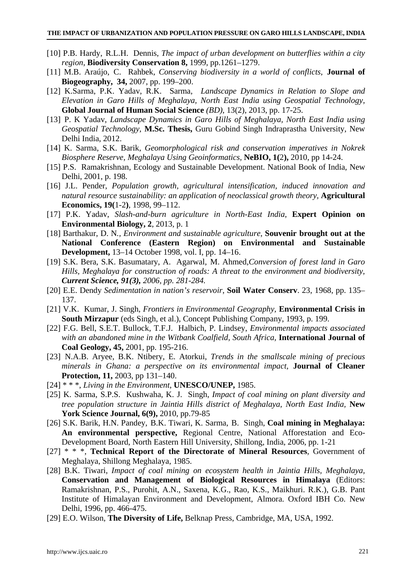- [10] P.B. Hardy, R.L.H. Dennis, *The impact of urban development on butterflies within a city region*, **Biodiversity Conservation 8,** 1999, pp.1261–1279.
- [11] M.B. Araújo, C. Rahbek, *Conserving biodiversity in a world of conflicts*, **Journal of Biogeography, 34,** 2007, pp. 199–200.
- [12] K.Sarma, P.K. Yadav, R.K. Sarma, *Landscape Dynamics in Relation to Slope and Elevation in Garo Hills of Meghalaya, North East India using Geospatial Technology,*  **Global Journal of Human Social Science** *(BD)*, 13(2), 2013, pp. 17-25.
- [13] P. K Yadav, *Landscape Dynamics in Garo Hills of Meghalaya, North East India using Geospatial Technology,* **M.Sc. Thesis,** Guru Gobind Singh Indraprastha University, New Delhi India, 2012.
- [14] K. Sarma, S.K. Barik, *Geomorphological risk and conservation imperatives in Nokrek Biosphere Reserve, Meghalaya Using Geoinformatics,* **NeBIO, 1(**2**),** 2010, pp 14-24.
- [15] P.S. Ramakrishnan, Ecology and Sustainable Development. National Book of India, New Delhi, 2001, p. 198.
- [16] J.L. Pender, *Population growth, agricultural intensification, induced innovation and natural resource sustainability: an application of neoclassical growth theory,* **Agricultural Economics, 19(**1-2**)**, 1998, 99–112.
- [17] P.K. Yadav, *Slash-and-burn agriculture in North-East India*, **Expert Opinion on Environmental Biology, 2**, 2013, p. 1
- [18] Barthakur, D. N*., Environment and sustainable agriculture*, **Souvenir brought out at the National Conference (Eastern Region) on Environmental and Sustainable Development,** 13–14 October 1998, vol. I, pp. 14–16.
- [19] S.K. Bera, S.K. Basumatary, A. Agarwal, M. Ahmed,*Conversion of forest land in Garo Hills, Meghalaya for construction of roads: A threat to the environment and biodiversity, Current Science, 91(3), 2006, pp. 281-284.*
- [20] E.E. Dendy *Sedimentation in nation's reservoir*, **Soil Water Conserv**. 23, 1968, pp. 135– 137.
- [21] V.K. Kumar, J. Singh, *Frontiers in Environmental Geography,* **Environmental Crisis in South Mirzapur** (eds Singh, et al.), Concept Publishing Company, 1993, p. 199.
- [22] F.G. Bell, S.E.T. Bullock, T.F.J. Halbich, P. Lindsey, *Environmental impacts associated with an abandoned mine in the Witbank Coalfield, South Africa,* **International Journal of Coal Geology, 45,** 2001, pp. 195-216.
- [23] N.A.B. Aryee, B.K. Ntibery, E. Atorkui, *Trends in the smallscale mining of precious minerals in Ghana: a perspective on its environmental impact,* **Journal of Cleaner Protection, 11,** 2003, pp 131–140.
- [24] \* \* \*, *Living in the Environment*, **UNESCO/UNEP,** 1985.
- [25] K. Sarma, S.P.S. Kushwaha, K. J. Singh, *Impact of coal mining on plant diversity and tree population structure in Jaintia Hills district of Meghalaya, North East India,* **New York Science Journal, 6(9),** 2010, pp.79-85
- [26] S.K. Barik, H.N. Pandey, B.K. Tiwari, K. Sarma, B. Singh, **Coal mining in Meghalaya: An environmental perspective,** Regional Centre, National Afforestation and Eco-Development Board, North Eastern Hill University, Shillong, India, 2006, pp. 1-21
- [27] \* \* \*, **Technical Report of the Directorate of Mineral Resources***,* Government of Meghalaya, Shillong Meghalaya, 1985.
- [28] B.K. Tiwari, *Impact of coal mining on ecosystem health in Jaintia Hills, Meghalaya,*  **Conservation and Management of Biological Resources in Himalaya** (Editors: Ramakrishnan, P.S., Purohit, A.N., Saxena, K.G., Rao, K.S., Maikhuri. R.K.), G.B. Pant Institute of Himalayan Environment and Development, Almora. Oxford IBH Co. New Delhi, 1996, pp. 466-475.
- [29] E.O. Wilson, **The Diversity of Life,** Belknap Press, Cambridge, MA, USA, 1992.